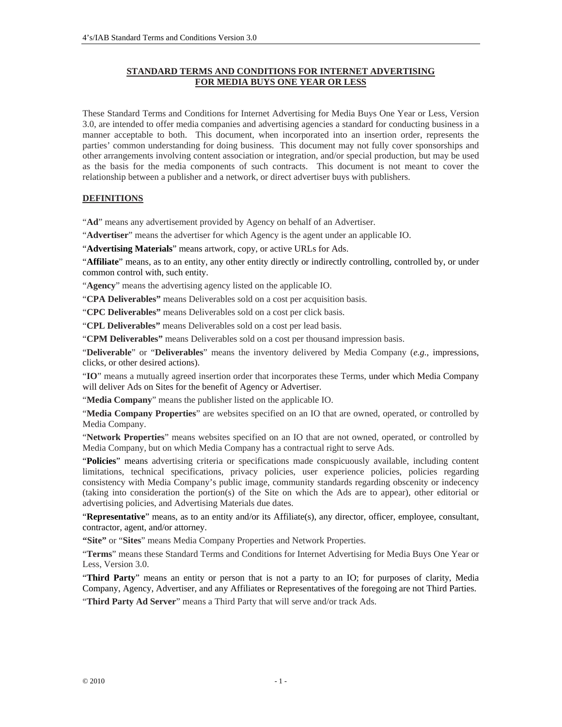#### **STANDARD TERMS AND CONDITIONS FOR INTERNET ADVERTISING FOR MEDIA BUYS ONE YEAR OR LESS**

These Standard Terms and Conditions for Internet Advertising for Media Buys One Year or Less, Version 3.0, are intended to offer media companies and advertising agencies a standard for conducting business in a manner acceptable to both. This document, when incorporated into an insertion order, represents the parties' common understanding for doing business. This document may not fully cover sponsorships and other arrangements involving content association or integration, and/or special production, but may be used as the basis for the media components of such contracts. This document is not meant to cover the relationship between a publisher and a network, or direct advertiser buys with publishers.

#### **DEFINITIONS**

"**Ad**" means any advertisement provided by Agency on behalf of an Advertiser.

"**Advertiser**" means the advertiser for which Agency is the agent under an applicable IO.

"**Advertising Materials**" means artwork, copy, or active URLs for Ads.

"**Affiliate**" means, as to an entity, any other entity directly or indirectly controlling, controlled by, or under common control with, such entity.

"**Agency**" means the advertising agency listed on the applicable IO.

"**CPA Deliverables"** means Deliverables sold on a cost per acquisition basis.

"**CPC Deliverables"** means Deliverables sold on a cost per click basis.

"**CPL Deliverables"** means Deliverables sold on a cost per lead basis.

"**CPM Deliverables"** means Deliverables sold on a cost per thousand impression basis.

"**Deliverable**" or "**Deliverables**" means the inventory delivered by Media Company (*e.g.*, impressions, clicks, or other desired actions).

"**IO**" means a mutually agreed insertion order that incorporates these Terms, under which Media Company will deliver Ads on Sites for the benefit of Agency or Advertiser.

"**Media Company**" means the publisher listed on the applicable IO.

"**Media Company Properties**" are websites specified on an IO that are owned, operated, or controlled by Media Company.

"**Network Properties**" means websites specified on an IO that are not owned, operated, or controlled by Media Company, but on which Media Company has a contractual right to serve Ads.

"**Policies**" means advertising criteria or specifications made conspicuously available, including content limitations, technical specifications, privacy policies, user experience policies, policies regarding consistency with Media Company's public image, community standards regarding obscenity or indecency (taking into consideration the portion(s) of the Site on which the Ads are to appear), other editorial or advertising policies, and Advertising Materials due dates.

"**Representative**" means, as to an entity and/or its Affiliate(s), any director, officer, employee, consultant, contractor, agent, and/or attorney.

**"Site"** or "**Sites**" means Media Company Properties and Network Properties.

"**Terms**" means these Standard Terms and Conditions for Internet Advertising for Media Buys One Year or Less, Version 3.0.

"**Third Party**" means an entity or person that is not a party to an IO; for purposes of clarity, Media Company, Agency, Advertiser, and any Affiliates or Representatives of the foregoing are not Third Parties.

"**Third Party Ad Server**" means a Third Party that will serve and/or track Ads.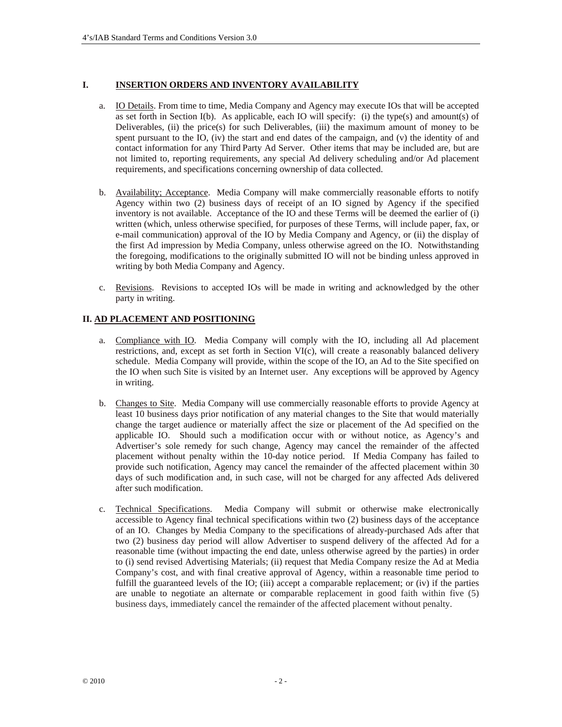#### **I. INSERTION ORDERS AND INVENTORY AVAILABILITY**

- a. IO Details. From time to time, Media Company and Agency may execute IOs that will be accepted as set forth in Section I(b). As applicable, each IO will specify: (i) the type(s) and amount(s) of Deliverables, (ii) the price(s) for such Deliverables, (iii) the maximum amount of money to be spent pursuant to the IO, (iv) the start and end dates of the campaign, and (v) the identity of and contact information for any Third Party Ad Server. Other items that may be included are, but are not limited to, reporting requirements, any special Ad delivery scheduling and/or Ad placement requirements, and specifications concerning ownership of data collected.
- b. Availability; Acceptance. Media Company will make commercially reasonable efforts to notify Agency within two (2) business days of receipt of an IO signed by Agency if the specified inventory is not available. Acceptance of the IO and these Terms will be deemed the earlier of (i) written (which, unless otherwise specified, for purposes of these Terms, will include paper, fax, or e-mail communication) approval of the IO by Media Company and Agency, or (ii) the display of the first Ad impression by Media Company, unless otherwise agreed on the IO. Notwithstanding the foregoing, modifications to the originally submitted IO will not be binding unless approved in writing by both Media Company and Agency.
- c. Revisions. Revisions to accepted IOs will be made in writing and acknowledged by the other party in writing.

#### **II. AD PLACEMENT AND POSITIONING**

- a. Compliance with IO. Media Company will comply with the IO, including all Ad placement restrictions, and, except as set forth in Section VI(c), will create a reasonably balanced delivery schedule. Media Company will provide, within the scope of the IO, an Ad to the Site specified on the IO when such Site is visited by an Internet user. Any exceptions will be approved by Agency in writing.
- b. Changes to Site. Media Company will use commercially reasonable efforts to provide Agency at least 10 business days prior notification of any material changes to the Site that would materially change the target audience or materially affect the size or placement of the Ad specified on the applicable IO. Should such a modification occur with or without notice, as Agency's and Advertiser's sole remedy for such change, Agency may cancel the remainder of the affected placement without penalty within the 10-day notice period. If Media Company has failed to provide such notification, Agency may cancel the remainder of the affected placement within 30 days of such modification and, in such case, will not be charged for any affected Ads delivered after such modification.
- c. Technical Specifications. Media Company will submit or otherwise make electronically accessible to Agency final technical specifications within two (2) business days of the acceptance of an IO. Changes by Media Company to the specifications of already-purchased Ads after that two (2) business day period will allow Advertiser to suspend delivery of the affected Ad for a reasonable time (without impacting the end date, unless otherwise agreed by the parties) in order to (i) send revised Advertising Materials; (ii) request that Media Company resize the Ad at Media Company's cost, and with final creative approval of Agency, within a reasonable time period to fulfill the guaranteed levels of the IO; (iii) accept a comparable replacement; or (iv) if the parties are unable to negotiate an alternate or comparable replacement in good faith within five (5) business days, immediately cancel the remainder of the affected placement without penalty.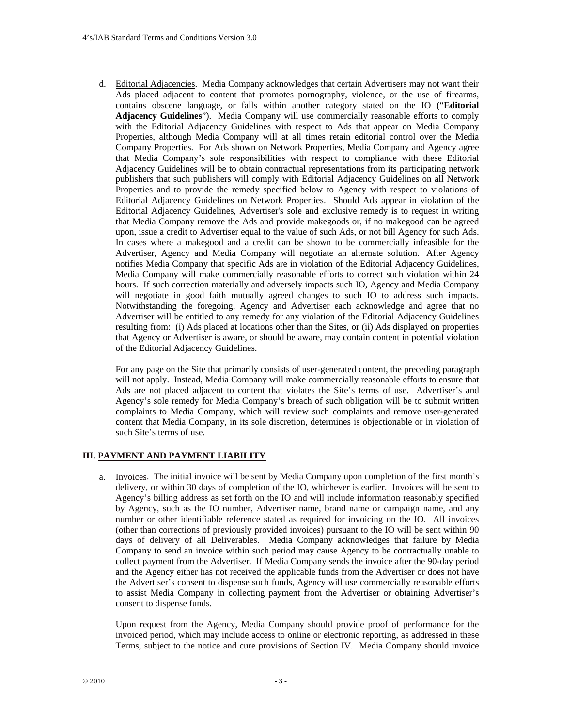d. Editorial Adjacencies. Media Company acknowledges that certain Advertisers may not want their Ads placed adjacent to content that promotes pornography, violence, or the use of firearms, contains obscene language, or falls within another category stated on the IO ("**Editorial Adjacency Guidelines**"). Media Company will use commercially reasonable efforts to comply with the Editorial Adjacency Guidelines with respect to Ads that appear on Media Company Properties, although Media Company will at all times retain editorial control over the Media Company Properties. For Ads shown on Network Properties, Media Company and Agency agree that Media Company's sole responsibilities with respect to compliance with these Editorial Adjacency Guidelines will be to obtain contractual representations from its participating network publishers that such publishers will comply with Editorial Adjacency Guidelines on all Network Properties and to provide the remedy specified below to Agency with respect to violations of Editorial Adjacency Guidelines on Network Properties. Should Ads appear in violation of the Editorial Adjacency Guidelines, Advertiser's sole and exclusive remedy is to request in writing that Media Company remove the Ads and provide makegoods or, if no makegood can be agreed upon, issue a credit to Advertiser equal to the value of such Ads, or not bill Agency for such Ads. In cases where a makegood and a credit can be shown to be commercially infeasible for the Advertiser, Agency and Media Company will negotiate an alternate solution. After Agency notifies Media Company that specific Ads are in violation of the Editorial Adjacency Guidelines, Media Company will make commercially reasonable efforts to correct such violation within 24 hours. If such correction materially and adversely impacts such IO, Agency and Media Company will negotiate in good faith mutually agreed changes to such IO to address such impacts. Notwithstanding the foregoing, Agency and Advertiser each acknowledge and agree that no Advertiser will be entitled to any remedy for any violation of the Editorial Adjacency Guidelines resulting from: (i) Ads placed at locations other than the Sites, or (ii) Ads displayed on properties that Agency or Advertiser is aware, or should be aware, may contain content in potential violation of the Editorial Adjacency Guidelines.

For any page on the Site that primarily consists of user-generated content, the preceding paragraph will not apply. Instead, Media Company will make commercially reasonable efforts to ensure that Ads are not placed adjacent to content that violates the Site's terms of use. Advertiser's and Agency's sole remedy for Media Company's breach of such obligation will be to submit written complaints to Media Company, which will review such complaints and remove user-generated content that Media Company, in its sole discretion, determines is objectionable or in violation of such Site's terms of use.

#### **III. PAYMENT AND PAYMENT LIABILITY**

a. Invoices. The initial invoice will be sent by Media Company upon completion of the first month's delivery, or within 30 days of completion of the IO, whichever is earlier. Invoices will be sent to Agency's billing address as set forth on the IO and will include information reasonably specified by Agency, such as the IO number, Advertiser name, brand name or campaign name, and any number or other identifiable reference stated as required for invoicing on the IO. All invoices (other than corrections of previously provided invoices) pursuant to the IO will be sent within 90 days of delivery of all Deliverables. Media Company acknowledges that failure by Media Company to send an invoice within such period may cause Agency to be contractually unable to collect payment from the Advertiser. If Media Company sends the invoice after the 90-day period and the Agency either has not received the applicable funds from the Advertiser or does not have the Advertiser's consent to dispense such funds, Agency will use commercially reasonable efforts to assist Media Company in collecting payment from the Advertiser or obtaining Advertiser's consent to dispense funds.

Upon request from the Agency, Media Company should provide proof of performance for the invoiced period, which may include access to online or electronic reporting, as addressed in these Terms, subject to the notice and cure provisions of Section IV. Media Company should invoice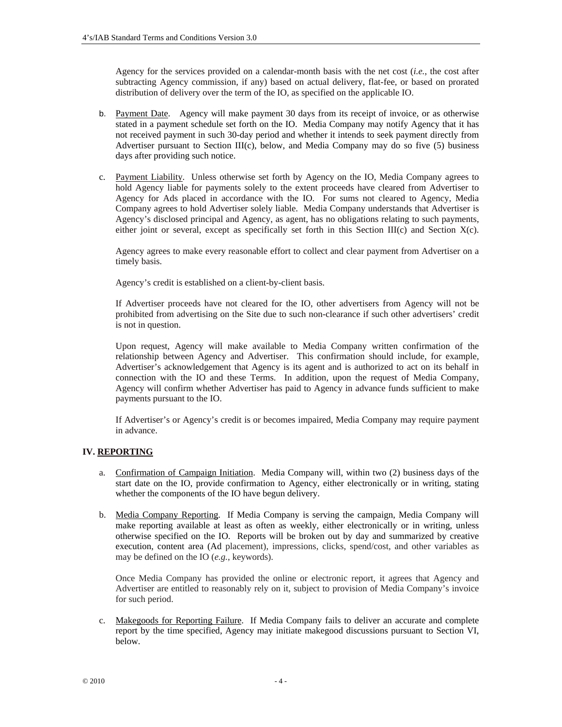Agency for the services provided on a calendar-month basis with the net cost (*i.e.*, the cost after subtracting Agency commission, if any) based on actual delivery, flat-fee, or based on prorated distribution of delivery over the term of the IO, as specified on the applicable IO.

- b. Payment Date. Agency will make payment 30 days from its receipt of invoice, or as otherwise stated in a payment schedule set forth on the IO. Media Company may notify Agency that it has not received payment in such 30-day period and whether it intends to seek payment directly from Advertiser pursuant to Section III(c), below, and Media Company may do so five  $(5)$  business days after providing such notice.
- c. Payment Liability. Unless otherwise set forth by Agency on the IO, Media Company agrees to hold Agency liable for payments solely to the extent proceeds have cleared from Advertiser to Agency for Ads placed in accordance with the IO. For sums not cleared to Agency, Media Company agrees to hold Advertiser solely liable. Media Company understands that Advertiser is Agency's disclosed principal and Agency, as agent, has no obligations relating to such payments, either joint or several, except as specifically set forth in this Section III(c) and Section  $X(c)$ .

Agency agrees to make every reasonable effort to collect and clear payment from Advertiser on a timely basis.

Agency's credit is established on a client-by-client basis.

If Advertiser proceeds have not cleared for the IO, other advertisers from Agency will not be prohibited from advertising on the Site due to such non-clearance if such other advertisers' credit is not in question.

Upon request, Agency will make available to Media Company written confirmation of the relationship between Agency and Advertiser. This confirmation should include, for example, Advertiser's acknowledgement that Agency is its agent and is authorized to act on its behalf in connection with the IO and these Terms. In addition, upon the request of Media Company, Agency will confirm whether Advertiser has paid to Agency in advance funds sufficient to make payments pursuant to the IO.

If Advertiser's or Agency's credit is or becomes impaired, Media Company may require payment in advance.

# **IV. REPORTING**

- a. Confirmation of Campaign Initiation. Media Company will, within two (2) business days of the start date on the IO, provide confirmation to Agency, either electronically or in writing, stating whether the components of the IO have begun delivery.
- b. Media Company Reporting. If Media Company is serving the campaign, Media Company will make reporting available at least as often as weekly, either electronically or in writing, unless otherwise specified on the IO. Reports will be broken out by day and summarized by creative execution, content area (Ad placement), impressions, clicks, spend/cost, and other variables as may be defined on the IO (*e.g.*, keywords).

Once Media Company has provided the online or electronic report, it agrees that Agency and Advertiser are entitled to reasonably rely on it, subject to provision of Media Company's invoice for such period.

c. Makegoods for Reporting Failure. If Media Company fails to deliver an accurate and complete report by the time specified, Agency may initiate makegood discussions pursuant to Section VI, below.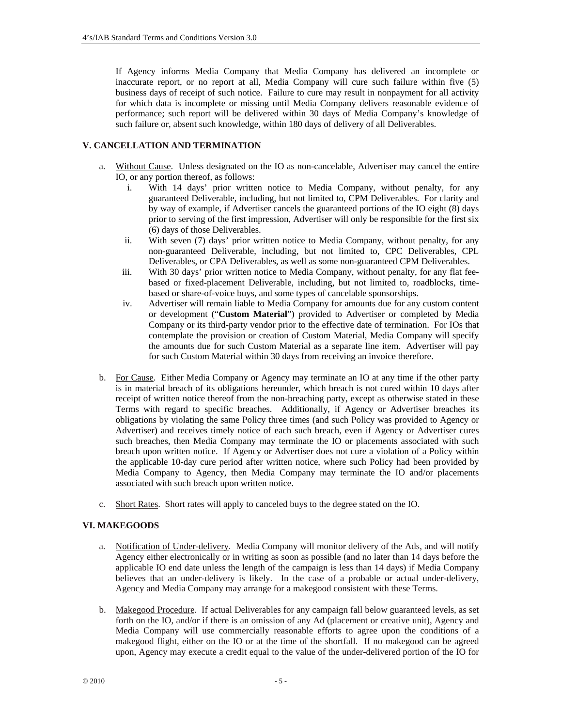If Agency informs Media Company that Media Company has delivered an incomplete or inaccurate report, or no report at all, Media Company will cure such failure within five (5) business days of receipt of such notice. Failure to cure may result in nonpayment for all activity for which data is incomplete or missing until Media Company delivers reasonable evidence of performance; such report will be delivered within 30 days of Media Company's knowledge of such failure or, absent such knowledge, within 180 days of delivery of all Deliverables.

# **V. CANCELLATION AND TERMINATION**

- a. Without Cause. Unless designated on the IO as non-cancelable, Advertiser may cancel the entire IO, or any portion thereof, as follows:
	- i. With 14 days' prior written notice to Media Company, without penalty, for any guaranteed Deliverable, including, but not limited to, CPM Deliverables. For clarity and by way of example, if Advertiser cancels the guaranteed portions of the IO eight (8) days prior to serving of the first impression, Advertiser will only be responsible for the first six (6) days of those Deliverables.
	- ii. With seven (7) days' prior written notice to Media Company, without penalty, for any non-guaranteed Deliverable, including, but not limited to, CPC Deliverables, CPL Deliverables, or CPA Deliverables, as well as some non-guaranteed CPM Deliverables.
	- iii. With 30 days' prior written notice to Media Company, without penalty, for any flat feebased or fixed-placement Deliverable, including, but not limited to, roadblocks, timebased or share-of-voice buys, and some types of cancelable sponsorships.
	- iv. Advertiser will remain liable to Media Company for amounts due for any custom content or development ("**Custom Material**") provided to Advertiser or completed by Media Company or its third-party vendor prior to the effective date of termination. For IOs that contemplate the provision or creation of Custom Material, Media Company will specify the amounts due for such Custom Material as a separate line item. Advertiser will pay for such Custom Material within 30 days from receiving an invoice therefore.
- b. For Cause. Either Media Company or Agency may terminate an IO at any time if the other party is in material breach of its obligations hereunder, which breach is not cured within 10 days after receipt of written notice thereof from the non-breaching party, except as otherwise stated in these Terms with regard to specific breaches. Additionally, if Agency or Advertiser breaches its obligations by violating the same Policy three times (and such Policy was provided to Agency or Advertiser) and receives timely notice of each such breach, even if Agency or Advertiser cures such breaches, then Media Company may terminate the IO or placements associated with such breach upon written notice. If Agency or Advertiser does not cure a violation of a Policy within the applicable 10-day cure period after written notice, where such Policy had been provided by Media Company to Agency, then Media Company may terminate the IO and/or placements associated with such breach upon written notice.
- c. Short Rates. Short rates will apply to canceled buys to the degree stated on the IO.

# **VI. MAKEGOODS**

- a. Notification of Under-delivery. Media Company will monitor delivery of the Ads, and will notify Agency either electronically or in writing as soon as possible (and no later than 14 days before the applicable IO end date unless the length of the campaign is less than 14 days) if Media Company believes that an under-delivery is likely. In the case of a probable or actual under-delivery, Agency and Media Company may arrange for a makegood consistent with these Terms.
- b. Makegood Procedure. If actual Deliverables for any campaign fall below guaranteed levels, as set forth on the IO, and/or if there is an omission of any Ad (placement or creative unit), Agency and Media Company will use commercially reasonable efforts to agree upon the conditions of a makegood flight, either on the IO or at the time of the shortfall. If no makegood can be agreed upon, Agency may execute a credit equal to the value of the under-delivered portion of the IO for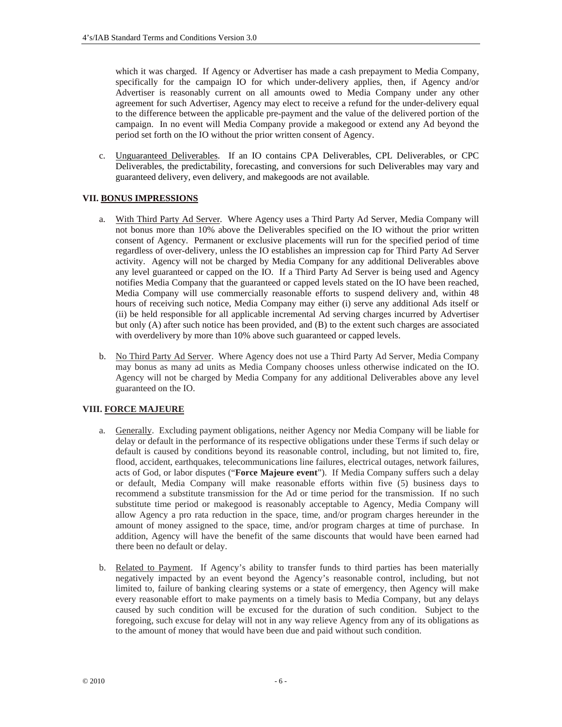which it was charged. If Agency or Advertiser has made a cash prepayment to Media Company, specifically for the campaign IO for which under-delivery applies, then, if Agency and/or Advertiser is reasonably current on all amounts owed to Media Company under any other agreement for such Advertiser, Agency may elect to receive a refund for the under-delivery equal to the difference between the applicable pre-payment and the value of the delivered portion of the campaign. In no event will Media Company provide a makegood or extend any Ad beyond the period set forth on the IO without the prior written consent of Agency.

c. Unguaranteed Deliverables. If an IO contains CPA Deliverables, CPL Deliverables, or CPC Deliverables, the predictability, forecasting, and conversions for such Deliverables may vary and guaranteed delivery, even delivery, and makegoods are not available*.*

# **VII. BONUS IMPRESSIONS**

- a. With Third Party Ad Server. Where Agency uses a Third Party Ad Server, Media Company will not bonus more than 10% above the Deliverables specified on the IO without the prior written consent of Agency. Permanent or exclusive placements will run for the specified period of time regardless of over-delivery, unless the IO establishes an impression cap for Third Party Ad Server activity. Agency will not be charged by Media Company for any additional Deliverables above any level guaranteed or capped on the IO. If a Third Party Ad Server is being used and Agency notifies Media Company that the guaranteed or capped levels stated on the IO have been reached, Media Company will use commercially reasonable efforts to suspend delivery and, within 48 hours of receiving such notice, Media Company may either (i) serve any additional Ads itself or (ii) be held responsible for all applicable incremental Ad serving charges incurred by Advertiser but only (A) after such notice has been provided, and (B) to the extent such charges are associated with overdelivery by more than 10% above such guaranteed or capped levels.
- b. No Third Party Ad Server. Where Agency does not use a Third Party Ad Server, Media Company may bonus as many ad units as Media Company chooses unless otherwise indicated on the IO. Agency will not be charged by Media Company for any additional Deliverables above any level guaranteed on the IO.

# **VIII. FORCE MAJEURE**

- a. Generally. Excluding payment obligations, neither Agency nor Media Company will be liable for delay or default in the performance of its respective obligations under these Terms if such delay or default is caused by conditions beyond its reasonable control, including, but not limited to, fire, flood, accident, earthquakes, telecommunications line failures, electrical outages, network failures, acts of God, or labor disputes ("**Force Majeure event**"). If Media Company suffers such a delay or default, Media Company will make reasonable efforts within five (5) business days to recommend a substitute transmission for the Ad or time period for the transmission. If no such substitute time period or makegood is reasonably acceptable to Agency, Media Company will allow Agency a pro rata reduction in the space, time, and/or program charges hereunder in the amount of money assigned to the space, time, and/or program charges at time of purchase. In addition, Agency will have the benefit of the same discounts that would have been earned had there been no default or delay.
- b. Related to Payment. If Agency's ability to transfer funds to third parties has been materially negatively impacted by an event beyond the Agency's reasonable control, including, but not limited to, failure of banking clearing systems or a state of emergency, then Agency will make every reasonable effort to make payments on a timely basis to Media Company, but any delays caused by such condition will be excused for the duration of such condition. Subject to the foregoing, such excuse for delay will not in any way relieve Agency from any of its obligations as to the amount of money that would have been due and paid without such condition.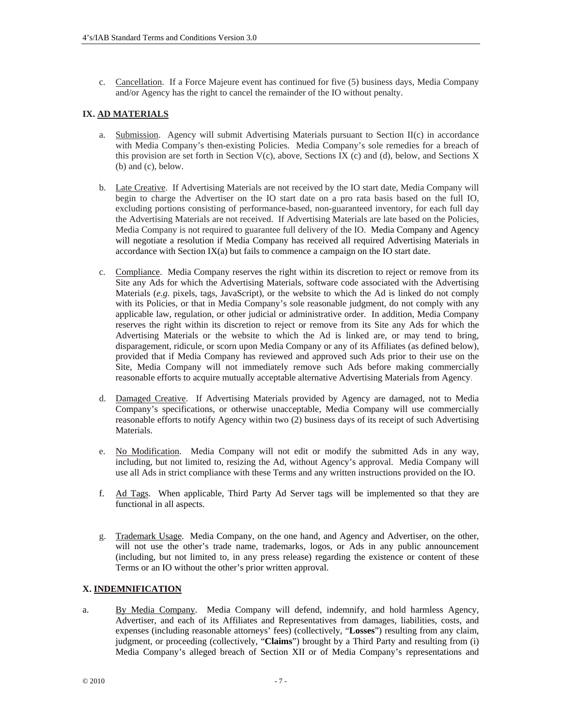c. Cancellation. If a Force Majeure event has continued for five (5) business days, Media Company and/or Agency has the right to cancel the remainder of the IO without penalty.

# **IX. AD MATERIALS**

- a. Submission. Agency will submit Advertising Materials pursuant to Section II(c) in accordance with Media Company's then-existing Policies. Media Company's sole remedies for a breach of this provision are set forth in Section V(c), above, Sections IX (c) and (d), below, and Sections X (b) and (c), below.
- b. Late Creative. If Advertising Materials are not received by the IO start date, Media Company will begin to charge the Advertiser on the IO start date on a pro rata basis based on the full IO, excluding portions consisting of performance-based, non-guaranteed inventory, for each full day the Advertising Materials are not received. If Advertising Materials are late based on the Policies, Media Company is not required to guarantee full delivery of the IO. Media Company and Agency will negotiate a resolution if Media Company has received all required Advertising Materials in accordance with Section  $IX(a)$  but fails to commence a campaign on the IO start date.
- c. Compliance. Media Company reserves the right within its discretion to reject or remove from its Site any Ads for which the Advertising Materials, software code associated with the Advertising Materials (*e.g.* pixels, tags, JavaScript), or the website to which the Ad is linked do not comply with its Policies, or that in Media Company's sole reasonable judgment, do not comply with any applicable law, regulation, or other judicial or administrative order. In addition, Media Company reserves the right within its discretion to reject or remove from its Site any Ads for which the Advertising Materials or the website to which the Ad is linked are, or may tend to bring, disparagement, ridicule, or scorn upon Media Company or any of its Affiliates (as defined below), provided that if Media Company has reviewed and approved such Ads prior to their use on the Site, Media Company will not immediately remove such Ads before making commercially reasonable efforts to acquire mutually acceptable alternative Advertising Materials from Agency.
- d. Damaged Creative. If Advertising Materials provided by Agency are damaged, not to Media Company's specifications, or otherwise unacceptable, Media Company will use commercially reasonable efforts to notify Agency within two (2) business days of its receipt of such Advertising Materials.
- e. No Modification. Media Company will not edit or modify the submitted Ads in any way, including, but not limited to, resizing the Ad, without Agency's approval. Media Company will use all Ads in strict compliance with these Terms and any written instructions provided on the IO.
- f. Ad Tags. When applicable, Third Party Ad Server tags will be implemented so that they are functional in all aspects.
- g. Trademark Usage. Media Company, on the one hand, and Agency and Advertiser, on the other, will not use the other's trade name, trademarks, logos, or Ads in any public announcement (including, but not limited to, in any press release) regarding the existence or content of these Terms or an IO without the other's prior written approval.

#### **X. INDEMNIFICATION**

a. By Media Company. Media Company will defend, indemnify, and hold harmless Agency, Advertiser, and each of its Affiliates and Representatives from damages, liabilities, costs, and expenses (including reasonable attorneys' fees) (collectively, "**Losses**") resulting from any claim, judgment, or proceeding (collectively, "**Claims**") brought by a Third Party and resulting from (i) Media Company's alleged breach of Section XII or of Media Company's representations and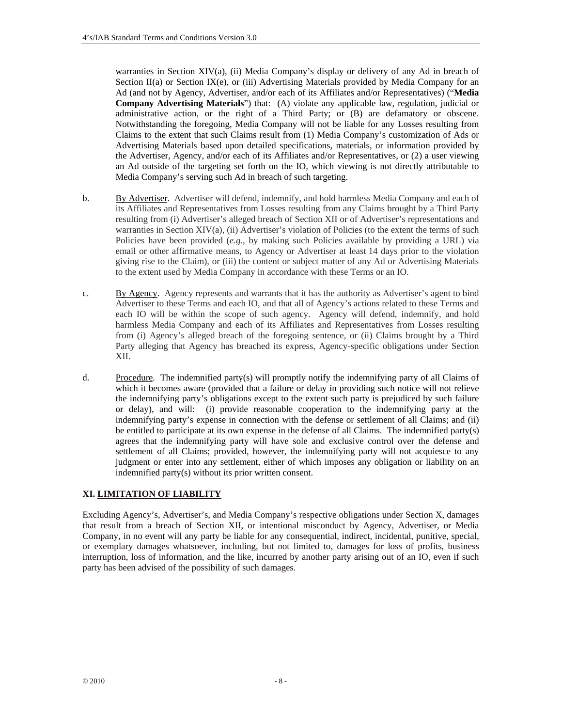warranties in Section XIV(a), (ii) Media Company's display or delivery of any Ad in breach of Section  $II(a)$  or Section IX(e), or (iii) Advertising Materials provided by Media Company for an Ad (and not by Agency, Advertiser, and/or each of its Affiliates and/or Representatives) ("**Media Company Advertising Materials**") that: (A) violate any applicable law, regulation, judicial or administrative action, or the right of a Third Party; or (B) are defamatory or obscene. Notwithstanding the foregoing, Media Company will not be liable for any Losses resulting from Claims to the extent that such Claims result from (1) Media Company's customization of Ads or Advertising Materials based upon detailed specifications, materials, or information provided by the Advertiser, Agency, and/or each of its Affiliates and/or Representatives, or (2) a user viewing an Ad outside of the targeting set forth on the IO, which viewing is not directly attributable to Media Company's serving such Ad in breach of such targeting.

- b. By Advertiser. Advertiser will defend, indemnify, and hold harmless Media Company and each of its Affiliates and Representatives from Losses resulting from any Claims brought by a Third Party resulting from (i) Advertiser's alleged breach of Section XII or of Advertiser's representations and warranties in Section XIV(a), (ii) Advertiser's violation of Policies (to the extent the terms of such Policies have been provided (*e.g.*, by making such Policies available by providing a URL) via email or other affirmative means, to Agency or Advertiser at least 14 days prior to the violation giving rise to the Claim), or (iii) the content or subject matter of any Ad or Advertising Materials to the extent used by Media Company in accordance with these Terms or an IO.
- c. By Agency. Agency represents and warrants that it has the authority as Advertiser's agent to bind Advertiser to these Terms and each IO, and that all of Agency's actions related to these Terms and each IO will be within the scope of such agency. Agency will defend, indemnify, and hold harmless Media Company and each of its Affiliates and Representatives from Losses resulting from (i) Agency's alleged breach of the foregoing sentence, or (ii) Claims brought by a Third Party alleging that Agency has breached its express, Agency-specific obligations under Section XII.
- d. Procedure. The indemnified party(s) will promptly notify the indemnifying party of all Claims of which it becomes aware (provided that a failure or delay in providing such notice will not relieve the indemnifying party's obligations except to the extent such party is prejudiced by such failure or delay), and will: (i) provide reasonable cooperation to the indemnifying party at the indemnifying party's expense in connection with the defense or settlement of all Claims; and (ii) be entitled to participate at its own expense in the defense of all Claims. The indemnified party(s) agrees that the indemnifying party will have sole and exclusive control over the defense and settlement of all Claims; provided, however, the indemnifying party will not acquiesce to any judgment or enter into any settlement, either of which imposes any obligation or liability on an indemnified party(s) without its prior written consent.

# **XI. LIMITATION OF LIABILITY**

Excluding Agency's, Advertiser's, and Media Company's respective obligations under Section X, damages that result from a breach of Section XII, or intentional misconduct by Agency, Advertiser, or Media Company, in no event will any party be liable for any consequential, indirect, incidental, punitive, special, or exemplary damages whatsoever, including, but not limited to, damages for loss of profits, business interruption, loss of information, and the like, incurred by another party arising out of an IO, even if such party has been advised of the possibility of such damages.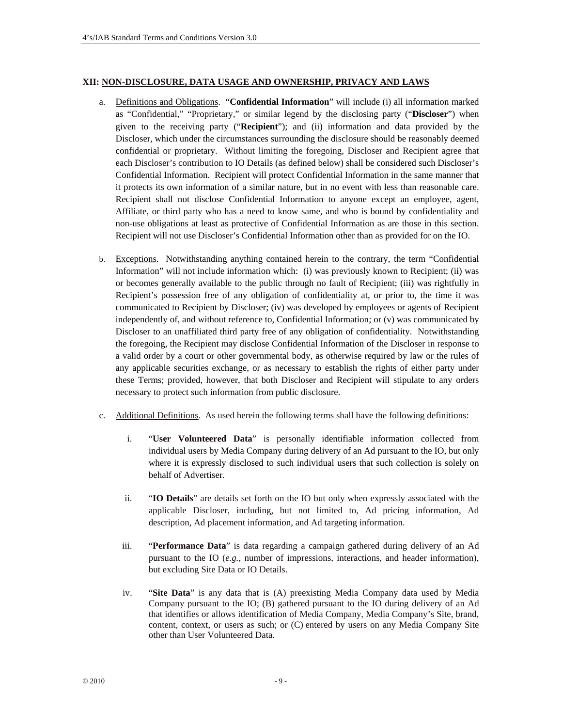#### **XII: NON-DISCLOSURE, DATA USAGE AND OWNERSHIP, PRIVACY AND LAWS**

- a. Definitions and Obligations. "**Confidential Information**" will include (i) all information marked as "Confidential," "Proprietary," or similar legend by the disclosing party ("**Discloser**") when given to the receiving party ("**Recipient**"); and (ii) information and data provided by the Discloser, which under the circumstances surrounding the disclosure should be reasonably deemed confidential or proprietary. Without limiting the foregoing, Discloser and Recipient agree that each Discloser's contribution to IO Details (as defined below) shall be considered such Discloser's Confidential Information. Recipient will protect Confidential Information in the same manner that it protects its own information of a similar nature, but in no event with less than reasonable care. Recipient shall not disclose Confidential Information to anyone except an employee, agent, Affiliate, or third party who has a need to know same, and who is bound by confidentiality and non-use obligations at least as protective of Confidential Information as are those in this section. Recipient will not use Discloser's Confidential Information other than as provided for on the IO.
- b. Exceptions. Notwithstanding anything contained herein to the contrary, the term "Confidential Information" will not include information which: (i) was previously known to Recipient; (ii) was or becomes generally available to the public through no fault of Recipient; (iii) was rightfully in Recipient's possession free of any obligation of confidentiality at, or prior to, the time it was communicated to Recipient by Discloser; (iv) was developed by employees or agents of Recipient independently of, and without reference to, Confidential Information; or (v) was communicated by Discloser to an unaffiliated third party free of any obligation of confidentiality. Notwithstanding the foregoing, the Recipient may disclose Confidential Information of the Discloser in response to a valid order by a court or other governmental body, as otherwise required by law or the rules of any applicable securities exchange, or as necessary to establish the rights of either party under these Terms; provided, however, that both Discloser and Recipient will stipulate to any orders necessary to protect such information from public disclosure.
- c. Additional Definitions. As used herein the following terms shall have the following definitions:
	- i. "**User Volunteered Data**" is personally identifiable information collected from individual users by Media Company during delivery of an Ad pursuant to the IO, but only where it is expressly disclosed to such individual users that such collection is solely on behalf of Advertiser.
	- ii. "**IO Details**" are details set forth on the IO but only when expressly associated with the applicable Discloser, including, but not limited to, Ad pricing information, Ad description, Ad placement information, and Ad targeting information.
	- iii. "**Performance Data**" is data regarding a campaign gathered during delivery of an Ad pursuant to the IO (*e.g.*, number of impressions, interactions, and header information), but excluding Site Data or IO Details.
	- iv. "**Site Data**" is any data that is (A) preexisting Media Company data used by Media Company pursuant to the IO; (B) gathered pursuant to the IO during delivery of an Ad that identifies or allows identification of Media Company, Media Company's Site, brand, content, context, or users as such; or (C) entered by users on any Media Company Site other than User Volunteered Data.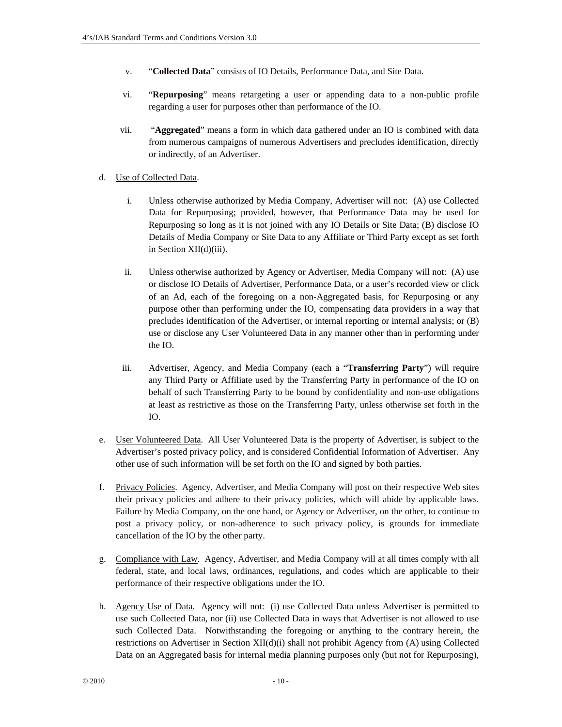- v. "**Collected Data**" consists of IO Details, Performance Data, and Site Data.
- vi. "**Repurposing**" means retargeting a user or appending data to a non-public profile regarding a user for purposes other than performance of the IO.
- vii. "**Aggregated**" means a form in which data gathered under an IO is combined with data from numerous campaigns of numerous Advertisers and precludes identification, directly or indirectly, of an Advertiser.
- d. Use of Collected Data.
	- i. Unless otherwise authorized by Media Company, Advertiser will not: (A) use Collected Data for Repurposing; provided, however, that Performance Data may be used for Repurposing so long as it is not joined with any IO Details or Site Data; (B) disclose IO Details of Media Company or Site Data to any Affiliate or Third Party except as set forth in Section XII(d)(iii).
	- ii. Unless otherwise authorized by Agency or Advertiser, Media Company will not: (A) use or disclose IO Details of Advertiser, Performance Data, or a user's recorded view or click of an Ad, each of the foregoing on a non-Aggregated basis, for Repurposing or any purpose other than performing under the IO, compensating data providers in a way that precludes identification of the Advertiser, or internal reporting or internal analysis; or (B) use or disclose any User Volunteered Data in any manner other than in performing under the IO.
	- iii. Advertiser, Agency, and Media Company (each a "**Transferring Party**") will require any Third Party or Affiliate used by the Transferring Party in performance of the IO on behalf of such Transferring Party to be bound by confidentiality and non-use obligations at least as restrictive as those on the Transferring Party, unless otherwise set forth in the IO.
- e. User Volunteered Data. All User Volunteered Data is the property of Advertiser, is subject to the Advertiser's posted privacy policy, and is considered Confidential Information of Advertiser. Any other use of such information will be set forth on the IO and signed by both parties.
- f. Privacy Policies. Agency, Advertiser, and Media Company will post on their respective Web sites their privacy policies and adhere to their privacy policies, which will abide by applicable laws. Failure by Media Company, on the one hand, or Agency or Advertiser, on the other, to continue to post a privacy policy, or non-adherence to such privacy policy, is grounds for immediate cancellation of the IO by the other party.
- g. Compliance with Law. Agency, Advertiser, and Media Company will at all times comply with all federal, state, and local laws, ordinances, regulations, and codes which are applicable to their performance of their respective obligations under the IO.
- h. Agency Use of Data. Agency will not: (i) use Collected Data unless Advertiser is permitted to use such Collected Data, nor (ii) use Collected Data in ways that Advertiser is not allowed to use such Collected Data. Notwithstanding the foregoing or anything to the contrary herein, the restrictions on Advertiser in Section XII(d)(i) shall not prohibit Agency from (A) using Collected Data on an Aggregated basis for internal media planning purposes only (but not for Repurposing),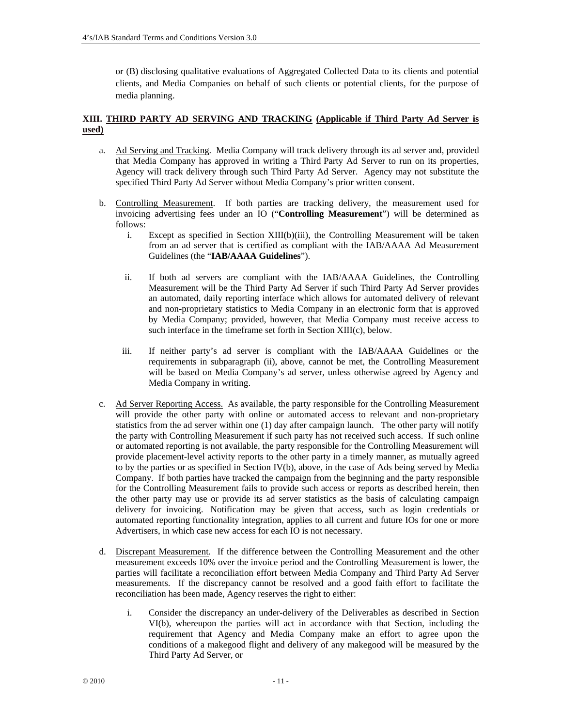or (B) disclosing qualitative evaluations of Aggregated Collected Data to its clients and potential clients, and Media Companies on behalf of such clients or potential clients, for the purpose of media planning.

# **XIII. THIRD PARTY AD SERVING AND TRACKING (Applicable if Third Party Ad Server is used)**

- a. Ad Serving and Tracking. Media Company will track delivery through its ad server and, provided that Media Company has approved in writing a Third Party Ad Server to run on its properties, Agency will track delivery through such Third Party Ad Server. Agency may not substitute the specified Third Party Ad Server without Media Company's prior written consent.
- b. Controlling Measurement. If both parties are tracking delivery, the measurement used for invoicing advertising fees under an IO ("**Controlling Measurement**") will be determined as follows:
	- i. Except as specified in Section  $XIII(b)(iii)$ , the Controlling Measurement will be taken from an ad server that is certified as compliant with the IAB/AAAA Ad Measurement Guidelines (the "**IAB/AAAA Guidelines**").
	- ii. If both ad servers are compliant with the IAB/AAAA Guidelines, the Controlling Measurement will be the Third Party Ad Server if such Third Party Ad Server provides an automated, daily reporting interface which allows for automated delivery of relevant and non-proprietary statistics to Media Company in an electronic form that is approved by Media Company; provided, however, that Media Company must receive access to such interface in the timeframe set forth in Section XIII(c), below.
	- iii. If neither party's ad server is compliant with the IAB/AAAA Guidelines or the requirements in subparagraph (ii), above, cannot be met, the Controlling Measurement will be based on Media Company's ad server, unless otherwise agreed by Agency and Media Company in writing.
- c. Ad Server Reporting Access. As available, the party responsible for the Controlling Measurement will provide the other party with online or automated access to relevant and non-proprietary statistics from the ad server within one (1) day after campaign launch. The other party will notify the party with Controlling Measurement if such party has not received such access. If such online or automated reporting is not available, the party responsible for the Controlling Measurement will provide placement-level activity reports to the other party in a timely manner, as mutually agreed to by the parties or as specified in Section IV(b), above, in the case of Ads being served by Media Company. If both parties have tracked the campaign from the beginning and the party responsible for the Controlling Measurement fails to provide such access or reports as described herein, then the other party may use or provide its ad server statistics as the basis of calculating campaign delivery for invoicing. Notification may be given that access, such as login credentials or automated reporting functionality integration, applies to all current and future IOs for one or more Advertisers, in which case new access for each IO is not necessary.
- d. Discrepant Measurement. If the difference between the Controlling Measurement and the other measurement exceeds 10% over the invoice period and the Controlling Measurement is lower, the parties will facilitate a reconciliation effort between Media Company and Third Party Ad Server measurements. If the discrepancy cannot be resolved and a good faith effort to facilitate the reconciliation has been made, Agency reserves the right to either:
	- i. Consider the discrepancy an under-delivery of the Deliverables as described in Section VI(b), whereupon the parties will act in accordance with that Section, including the requirement that Agency and Media Company make an effort to agree upon the conditions of a makegood flight and delivery of any makegood will be measured by the Third Party Ad Server, or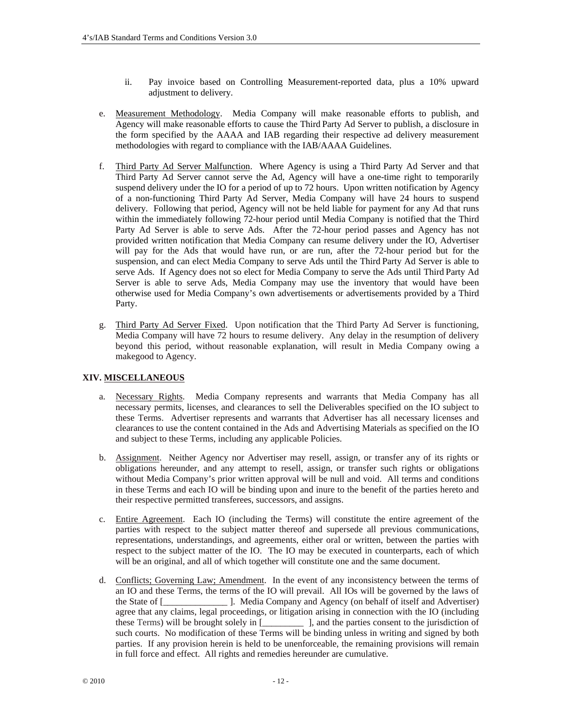- ii. Pay invoice based on Controlling Measurement-reported data, plus a 10% upward adjustment to delivery.
- e. Measurement Methodology. Media Company will make reasonable efforts to publish, and Agency will make reasonable efforts to cause the Third Party Ad Server to publish, a disclosure in the form specified by the AAAA and IAB regarding their respective ad delivery measurement methodologies with regard to compliance with the IAB/AAAA Guidelines.
- f. Third Party Ad Server Malfunction. Where Agency is using a Third Party Ad Server and that Third Party Ad Server cannot serve the Ad, Agency will have a one-time right to temporarily suspend delivery under the IO for a period of up to 72 hours. Upon written notification by Agency of a non-functioning Third Party Ad Server, Media Company will have 24 hours to suspend delivery. Following that period, Agency will not be held liable for payment for any Ad that runs within the immediately following 72-hour period until Media Company is notified that the Third Party Ad Server is able to serve Ads. After the 72-hour period passes and Agency has not provided written notification that Media Company can resume delivery under the IO, Advertiser will pay for the Ads that would have run, or are run, after the 72-hour period but for the suspension, and can elect Media Company to serve Ads until the Third Party Ad Server is able to serve Ads. If Agency does not so elect for Media Company to serve the Ads until Third Party Ad Server is able to serve Ads, Media Company may use the inventory that would have been otherwise used for Media Company's own advertisements or advertisements provided by a Third Party.
- g. Third Party Ad Server Fixed. Upon notification that the Third Party Ad Server is functioning, Media Company will have 72 hours to resume delivery. Any delay in the resumption of delivery beyond this period, without reasonable explanation, will result in Media Company owing a makegood to Agency.

# **XIV. MISCELLANEOUS**

- a. Necessary Rights. Media Company represents and warrants that Media Company has all necessary permits, licenses, and clearances to sell the Deliverables specified on the IO subject to these Terms. Advertiser represents and warrants that Advertiser has all necessary licenses and clearances to use the content contained in the Ads and Advertising Materials as specified on the IO and subject to these Terms, including any applicable Policies.
- b. Assignment. Neither Agency nor Advertiser may resell, assign, or transfer any of its rights or obligations hereunder, and any attempt to resell, assign, or transfer such rights or obligations without Media Company's prior written approval will be null and void. All terms and conditions in these Terms and each IO will be binding upon and inure to the benefit of the parties hereto and their respective permitted transferees, successors, and assigns.
- c. Entire Agreement. Each IO (including the Terms) will constitute the entire agreement of the parties with respect to the subject matter thereof and supersede all previous communications, representations, understandings, and agreements, either oral or written, between the parties with respect to the subject matter of the IO. The IO may be executed in counterparts, each of which will be an original, and all of which together will constitute one and the same document.
- d. Conflicts; Governing Law; Amendment. In the event of any inconsistency between the terms of an IO and these Terms, the terms of the IO will prevail. All IOs will be governed by the laws of the State of [\_\_\_\_\_\_\_\_\_\_\_\_\_\_ ]. Media Company and Agency (on behalf of itself and Advertiser) agree that any claims, legal proceedings, or litigation arising in connection with the IO (including these Terms) will be brought solely in [\_\_\_\_\_\_\_\_\_ ], and the parties consent to the jurisdiction of such courts. No modification of these Terms will be binding unless in writing and signed by both parties. If any provision herein is held to be unenforceable, the remaining provisions will remain in full force and effect. All rights and remedies hereunder are cumulative.